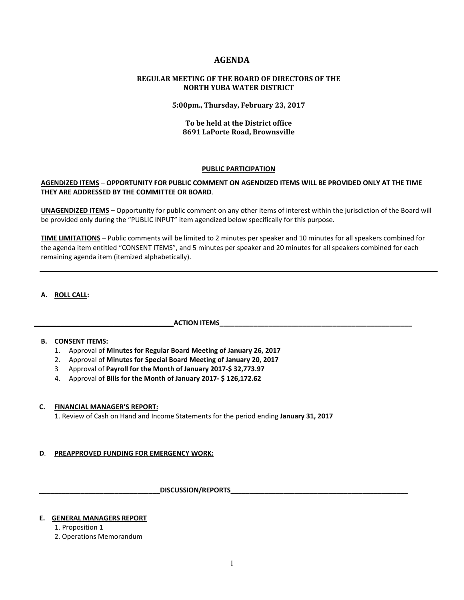# **AGENDA**

### **REGULAR MEETING OF THE BOARD OF DIRECTORS OF THE NORTH YUBA WATER DISTRICT**

**5:00pm., Thursday, February 23, 2017**

### **To be held at the District office 8691 LaPorte Road, Brownsville**

#### **PUBLIC PARTICIPATION**

### **AGENDIZED ITEMS** – **OPPORTUNITY FOR PUBLIC COMMENT ON AGENDIZED ITEMS WILL BE PROVIDED ONLY AT THE TIME THEY ARE ADDRESSED BY THE COMMITTEE OR BOARD**.

**UNAGENDIZED ITEMS** – Opportunity for public comment on any other items of interest within the jurisdiction of the Board will be provided only during the "PUBLIC INPUT" item agendized below specifically for this purpose.

**TIME LIMITATIONS** – Public comments will be limited to 2 minutes per speaker and 10 minutes for all speakers combined for the agenda item entitled "CONSENT ITEMS", and 5 minutes per speaker and 20 minutes for all speakers combined for each remaining agenda item (itemized alphabetically).

### **A. ROLL CALL:**

# **\_\_\_\_\_\_\_\_\_\_\_\_\_\_\_\_\_\_\_\_\_\_\_\_\_\_\_\_\_\_\_\_\_\_\_\_\_ACTION ITEMS\_\_\_\_\_\_\_\_\_\_\_\_\_\_\_\_\_\_\_\_\_\_\_\_\_\_\_\_\_\_\_\_\_\_\_\_\_\_\_\_\_\_\_\_\_\_\_\_\_\_\_**

# **B. CONSENT ITEMS:**

- 1. Approval of **Minutes for Regular Board Meeting of January 26, 2017**
- 2. Approval of **Minutes for Special Board Meeting of January 20, 2017**
- 3 Approval of **Payroll for the Month of January 2017‐\$ 32,773.97**
- 4. Approval of **Bills for the Month of January 2017‐ \$ 126,172.62**

#### **C. FINANCIAL MANAGER'S REPORT:**

1. Review of Cash on Hand and Income Statements for the period ending **January 31, 2017** 

# **D. PREAPPROVED FUNDING FOR EMERGENCY WORK:**

 **\_\_\_\_\_\_\_\_\_\_\_\_\_\_\_\_\_\_\_\_\_\_\_\_\_\_\_\_\_\_\_\_DISCUSSION/REPORTS\_\_\_\_\_\_\_\_\_\_\_\_\_\_\_\_\_\_\_\_\_\_\_\_\_\_\_\_\_\_\_\_\_\_\_\_\_\_\_\_\_\_\_\_\_\_\_** 

### **E. GENERAL MANAGERS REPORT**

- 1. Proposition 1
- 2. Operations Memorandum